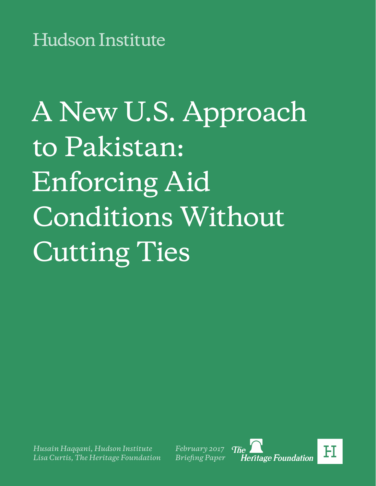# A New U.S. Approach to Pakistan: Enforcing Aid Conditions Without Cutting Ties

*Husain Haqqani, Hudson Institute Lisa Curtis, The Heritage Foundation* *February 2017 Briefing Paper*

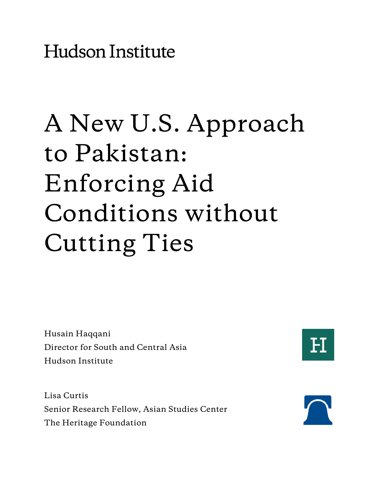**Hudson Institute** 

## A New U.S. Approach to Pakistan: Enforcing Aid Conditions without Cutting Ties

Husain Haqqani Director for South and Central Asia Hudson Institute



Lisa Curtis Senior Research Fellow, Asian Studies Center The Heritage Foundation

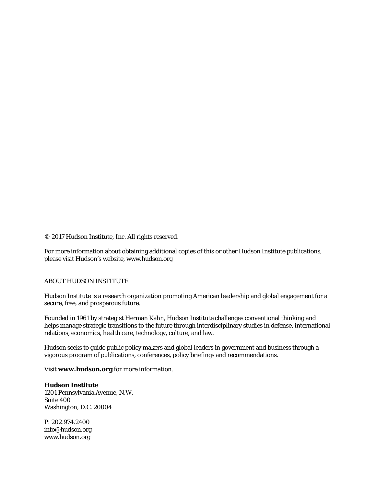© 2017 Hudson Institute, Inc. All rights reserved.

For more information about obtaining additional copies of this or other Hudson Institute publications, please visit Hudson's website, www.hudson.org

#### ABOUT HUDSON INSTITUTE

Hudson Institute is a research organization promoting American leadership and global engagement for a secure, free, and prosperous future.

Founded in 1961 by strategist Herman Kahn, Hudson Institute challenges conventional thinking and helps manage strategic transitions to the future through interdisciplinary studies in defense, international relations, economics, health care, technology, culture, and law.

Hudson seeks to guide public policy makers and global leaders in government and business through a vigorous program of publications, conferences, policy briefings and recommendations.

Visit **www.hudson.org** for more information.

**Hudson Institute** 1201 Pennsylvania Avenue, N.W. Suite 400 Washington, D.C. 20004

P: 202.974.2400 info@hudson.org www.hudson.org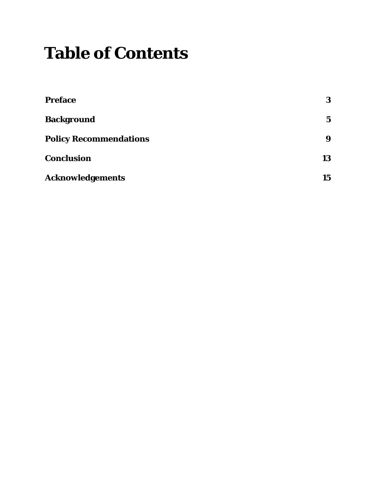### **Table of Contents**

| <b>Preface</b>                | 3           |
|-------------------------------|-------------|
| <b>Background</b>             | $\mathbf 5$ |
| <b>Policy Recommendations</b> | 9           |
| <b>Conclusion</b>             | 13          |
| <b>Acknowledgements</b>       | 15          |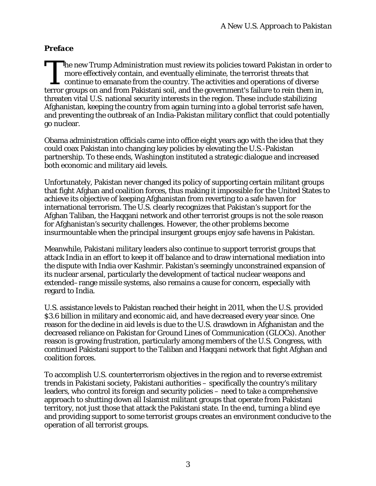#### *Preface*

he new Trump Administration must review its policies toward Pakistan in order to more effectively contain, and eventually eliminate, the terrorist threats that  $\mathsf L$  continue to emanate from the country. The activities and operations of diverse The new Trump Administration must review its policies toward Pakistan in order more effectively contain, and eventually eliminate, the terrorist threats that continue to emanate from the country. The activities and operati threaten vital U.S. national security interests in the region. These include stabilizing Afghanistan, keeping the country from again turning into a global terrorist safe haven, and preventing the outbreak of an India-Pakistan military conflict that could potentially go nuclear.

Obama administration officials came into office eight years ago with the idea that they could coax Pakistan into changing key policies by elevating the U.S.-Pakistan partnership. To these ends, Washington instituted a strategic dialogue and increased both economic and military aid levels.

Unfortunately, Pakistan never changed its policy of supporting certain militant groups that fight Afghan and coalition forces, thus making it impossible for the United States to achieve its objective of keeping Afghanistan from reverting to a safe haven for international terrorism. The U.S. clearly recognizes that Pakistan's support for the Afghan Taliban, the Haqqani network and other terrorist groups is not the sole reason for Afghanistan's security challenges. However, the other problems become insurmountable when the principal insurgent groups enjoy safe havens in Pakistan.

Meanwhile, Pakistani military leaders also continue to support terrorist groups that attack India in an effort to keep it off balance and to draw international mediation into the dispute with India over Kashmir. Pakistan's seemingly unconstrained expansion of its nuclear arsenal, particularly the development of tactical nuclear weapons and extended–range missile systems, also remains a cause for concern, especially with regard to India.

U.S. assistance levels to Pakistan reached their height in 2011, when the U.S. provided \$3.6 billion in military and economic aid, and have decreased every year since. One reason for the decline in aid levels is due to the U.S. drawdown in Afghanistan and the decreased reliance on Pakistan for Ground Lines of Communication (GLOCs). Another reason is growing frustration, particularly among members of the U.S. Congress, with continued Pakistani support to the Taliban and Haqqani network that fight Afghan and coalition forces.

To accomplish U.S. counterterrorism objectives in the region and to reverse extremist trends in Pakistani society, Pakistani authorities – specifically the country's military leaders, who control its foreign and security policies – need to take a comprehensive approach to shutting down all Islamist militant groups that operate from Pakistani territory, not just those that attack the Pakistani state. In the end, turning a blind eye and providing support to some terrorist groups creates an environment conducive to the operation of all terrorist groups.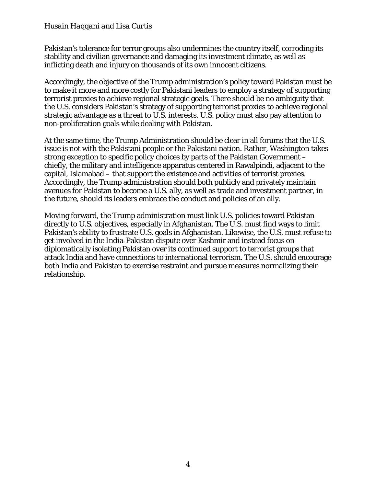Pakistan's tolerance for terror groups also undermines the country itself, corroding its stability and civilian governance and damaging its investment climate, as well as inflicting death and injury on thousands of its own innocent citizens.

Accordingly, the objective of the Trump administration's policy toward Pakistan must be to make it more and more costly for Pakistani leaders to employ a strategy of supporting terrorist proxies to achieve regional strategic goals. There should be no ambiguity that the U.S. considers Pakistan's strategy of supporting terrorist proxies to achieve regional strategic advantage as a threat to U.S. interests. U.S. policy must also pay attention to non-proliferation goals while dealing with Pakistan.

At the same time, the Trump Administration should be clear in all forums that the U.S. issue is not with the Pakistani people or the Pakistani nation. Rather, Washington takes strong exception to specific policy choices by parts of the Pakistan Government – chiefly, the military and intelligence apparatus centered in Rawalpindi, adjacent to the capital, Islamabad – that support the existence and activities of terrorist proxies. Accordingly, the Trump administration should both publicly and privately maintain avenues for Pakistan to become a U.S. ally, as well as trade and investment partner, in the future, should its leaders embrace the conduct and policies of an ally.

Moving forward, the Trump administration must link U.S. policies toward Pakistan directly to U.S. objectives, especially in Afghanistan. The U.S. must find ways to limit Pakistan's ability to frustrate U.S. goals in Afghanistan. Likewise, the U.S. must refuse to get involved in the India-Pakistan dispute over Kashmir and instead focus on diplomatically isolating Pakistan over its continued support to terrorist groups that attack India and have connections to international terrorism. The U.S. should encourage both India and Pakistan to exercise restraint and pursue measures normalizing their relationship.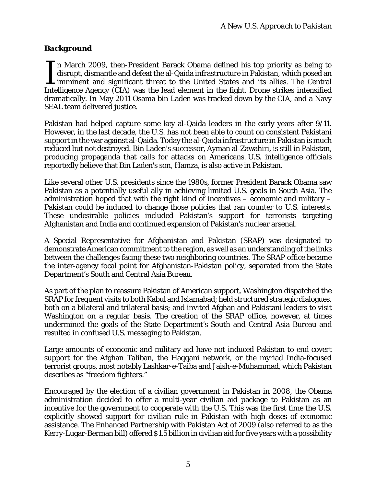#### *Background*

n March 2009, then-President Barack Obama defined his top priority as being to disrupt, dismantle and defeat the al-Qaida infrastructure in Pakistan, which posed an imminent and significant threat to the United States and its allies. The Central In March 2009, then-President Barack Obama defined his top priority as being to disrupt, dismantle and defeat the al-Qaida infrastructure in Pakistan, which posed an imminent and significant threat to the United States and dramatically. In May 2011 Osama bin Laden was tracked down by the CIA, and a Navy SEAL team delivered justice.

Pakistan had helped capture some key al-Qaida leaders in the early years after 9/11. However, in the last decade, the U.S. has not been able to count on consistent Pakistani support in the war against al-Qaida. Today the al-Qaida infrastructure in Pakistan is much reduced but not destroyed. Bin Laden's successor, Ayman al-Zawahiri, is still in Pakistan, producing propaganda that calls for attacks on Americans. U.S. intelligence officials reportedly believe that Bin Laden's son, Hamza, is also active in Pakistan.

Like several other U.S. presidents since the 1980s, former President Barack Obama saw Pakistan as a potentially useful ally in achieving limited U.S. goals in South Asia. The administration hoped that with the right kind of incentives – economic and military – Pakistan could be induced to change those policies that ran counter to U.S. interests. These undesirable policies included Pakistan's support for terrorists targeting Afghanistan and India and continued expansion of Pakistan's nuclear arsenal.

A Special Representative for Afghanistan and Pakistan (SRAP) was designated to demonstrate American commitment to the region, as well as an understanding of the links between the challenges facing these two neighboring countries. The SRAP office became the inter-agency focal point for Afghanistan-Pakistan policy, separated from the State Department's South and Central Asia Bureau.

As part of the plan to reassure Pakistan of American support, Washington dispatched the SRAP for frequent visits to both Kabul and Islamabad; held structured strategic dialogues, both on a bilateral and trilateral basis; and invited Afghan and Pakistani leaders to visit Washington on a regular basis. The creation of the SRAP office, however, at times undermined the goals of the State Department's South and Central Asia Bureau and resulted in confused U.S. messaging to Pakistan.

Large amounts of economic and military aid have not induced Pakistan to end covert support for the Afghan Taliban, the Haqqani network, or the myriad India-focused terrorist groups, most notably Lashkar-e-Taiba and Jaish-e-Muhammad, which Pakistan describes as "freedom fighters."

Encouraged by the election of a civilian government in Pakistan in 2008, the Obama administration decided to offer a multi-year civilian aid package to Pakistan as an incentive for the government to cooperate with the U.S. This was the first time the U.S. explicitly showed support for civilian rule in Pakistan with high doses of economic assistance. The Enhanced Partnership with Pakistan Act of 2009 (also referred to as the Kerry-Lugar-Berman bill) offered \$1.5 billion in civilian aid for five years with a possibility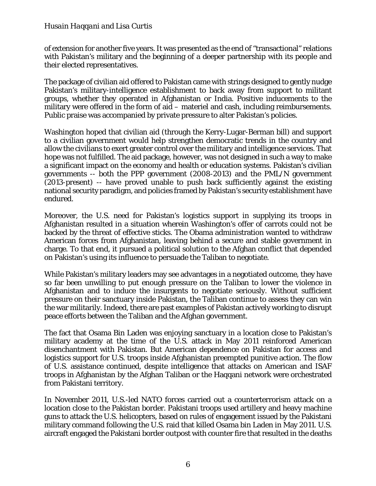of extension for another five years. It was presented as the end of "transactional" relations with Pakistan's military and the beginning of a deeper partnership with its people and their elected representatives.

The package of civilian aid offered to Pakistan came with strings designed to gently nudge Pakistan's military-intelligence establishment to back away from support to militant groups, whether they operated in Afghanistan or India. Positive inducements to the military were offered in the form of aid – materiel and cash, including reimbursements. Public praise was accompanied by private pressure to alter Pakistan's policies.

Washington hoped that civilian aid (through the Kerry-Lugar-Berman bill) and support to a civilian government would help strengthen democratic trends in the country and allow the civilians to exert greater control over the military and intelligence services. That hope was not fulfilled. The aid package, however, was not designed in such a way to make a significant impact on the economy and health or education systems. Pakistan's civilian governments -- both the PPP government (2008-2013) and the PML/N government (2013-present) -- have proved unable to push back sufficiently against the existing national security paradigm, and policies framed by Pakistan's security establishment have endured.

Moreover, the U.S. need for Pakistan's logistics support in supplying its troops in Afghanistan resulted in a situation wherein Washington's offer of carrots could not be backed by the threat of effective sticks. The Obama administration wanted to withdraw American forces from Afghanistan, leaving behind a secure and stable government in charge. To that end, it pursued a political solution to the Afghan conflict that depended on Pakistan's using its influence to persuade the Taliban to negotiate.

While Pakistan's military leaders may see advantages in a negotiated outcome, they have so far been unwilling to put enough pressure on the Taliban to lower the violence in Afghanistan and to induce the insurgents to negotiate seriously. Without sufficient pressure on their sanctuary inside Pakistan, the Taliban continue to assess they can win the war militarily. Indeed, there are past examples of Pakistan actively working to disrupt peace efforts between the Taliban and the Afghan government.

The fact that Osama Bin Laden was enjoying sanctuary in a location close to Pakistan's military academy at the time of the U.S. attack in May 2011 reinforced American disenchantment with Pakistan. But American dependence on Pakistan for access and logistics support for U.S. troops inside Afghanistan preempted punitive action. The flow of U.S. assistance continued, despite intelligence that attacks on American and ISAF troops in Afghanistan by the Afghan Taliban or the Haqqani network were orchestrated from Pakistani territory.

In November 2011, U.S.-led NATO forces carried out a counterterrorism attack on a location close to the Pakistan border. Pakistani troops used artillery and heavy machine guns to attack the U.S. helicopters, based on rules of engagement issued by the Pakistani military command following the U.S. raid that killed Osama bin Laden in May 2011. U.S. aircraft engaged the Pakistani border outpost with counter fire that resulted in the deaths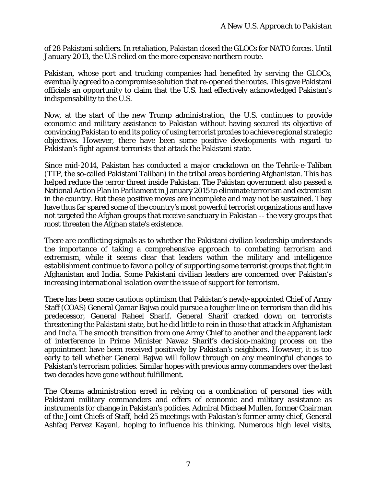of 28 Pakistani soldiers. In retaliation, Pakistan closed the GLOCs for NATO forces. Until January 2013, the U.S relied on the more expensive northern route.

Pakistan, whose port and trucking companies had benefited by serving the GLOCs, eventually agreed to a compromise solution that re-opened the routes. This gave Pakistani officials an opportunity to claim that the U.S. had effectively acknowledged Pakistan's indispensability to the U.S.

Now, at the start of the new Trump administration, the U.S. continues to provide economic and military assistance to Pakistan without having secured its objective of convincing Pakistan to end its policy of using terrorist proxies to achieve regional strategic objectives. However, there have been some positive developments with regard to Pakistan's fight against terrorists that attack the Pakistani state.

Since mid-2014, Pakistan has conducted a major crackdown on the Tehrik-e-Taliban (TTP, the so-called Pakistani Taliban) in the tribal areas bordering Afghanistan. This has helped reduce the terror threat inside Pakistan. The Pakistan government also passed a National Action Plan in Parliament in January 2015 to eliminate terrorism and extremism in the country. But these positive moves are incomplete and may not be sustained. They have thus far spared some of the country's most powerful terrorist organizations and have not targeted the Afghan groups that receive sanctuary in Pakistan -- the very groups that most threaten the Afghan state's existence.

There are conflicting signals as to whether the Pakistani civilian leadership understands the importance of taking a comprehensive approach to combating terrorism and extremism, while it seems clear that leaders within the military and intelligence establishment continue to favor a policy of supporting some terrorist groups that fight in Afghanistan and India. Some Pakistani civilian leaders are concerned over Pakistan's increasing international isolation over the issue of support for terrorism.

There has been some cautious optimism that Pakistan's newly-appointed Chief of Army Staff (COAS) General Qamar Bajwa could pursue a tougher line on terrorism than did his predecessor, General Raheel Sharif. General Sharif cracked down on terrorists threatening the Pakistani state, but he did little to rein in those that attack in Afghanistan and India. The smooth transition from one Army Chief to another and the apparent lack of interference in Prime Minister Nawaz Sharif's decision-making process on the appointment have been received positively by Pakistan's neighbors. However, it is too early to tell whether General Bajwa will follow through on any meaningful changes to Pakistan's terrorism policies. Similar hopes with previous army commanders over the last two decades have gone without fulfillment.

The Obama administration erred in relying on a combination of personal ties with Pakistani military commanders and offers of economic and military assistance as instruments for change in Pakistan's policies. Admiral Michael Mullen, former Chairman of the Joint Chiefs of Staff, held 25 meetings with Pakistan's former army chief, General Ashfaq Pervez Kayani, hoping to influence his thinking. Numerous high level visits,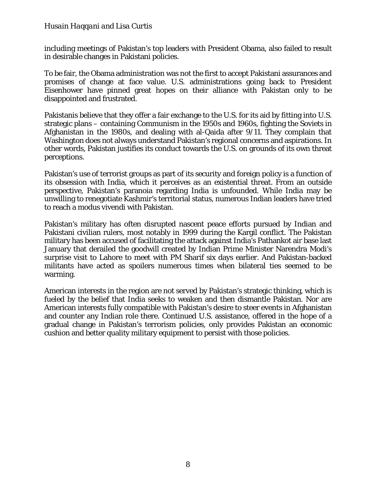including meetings of Pakistan's top leaders with President Obama, also failed to result in desirable changes in Pakistani policies.

To be fair, the Obama administration was not the first to accept Pakistani assurances and promises of change at face value. U.S. administrations going back to President Eisenhower have pinned great hopes on their alliance with Pakistan only to be disappointed and frustrated.

Pakistanis believe that they offer a fair exchange to the U.S. for its aid by fitting into U.S. strategic plans – containing Communism in the 1950s and 1960s, fighting the Soviets in Afghanistan in the 1980s, and dealing with al-Qaida after 9/11. They complain that Washington does not always understand Pakistan's regional concerns and aspirations. In other words, Pakistan justifies its conduct towards the U.S. on grounds of its own threat perceptions.

Pakistan's use of terrorist groups as part of its security and foreign policy is a function of its obsession with India, which it perceives as an existential threat. From an outside perspective, Pakistan's paranoia regarding India is unfounded. While India may be unwilling to renegotiate Kashmir's territorial status, numerous Indian leaders have tried to reach a modus vivendi with Pakistan.

Pakistan's military has often disrupted nascent peace efforts pursued by Indian and Pakistani civilian rulers, most notably in 1999 during the Kargil conflict. The Pakistan military has been accused of facilitating the attack against India's Pathankot air base last January that derailed the goodwill created by Indian Prime Minister Narendra Modi's surprise visit to Lahore to meet with PM Sharif six days earlier. And Pakistan-backed militants have acted as spoilers numerous times when bilateral ties seemed to be warming.

American interests in the region are not served by Pakistan's strategic thinking, which is fueled by the belief that India seeks to weaken and then dismantle Pakistan. Nor are American interests fully compatible with Pakistan's desire to steer events in Afghanistan and counter any Indian role there. Continued U.S. assistance, offered in the hope of a gradual change in Pakistan's terrorism policies, only provides Pakistan an economic cushion and better quality military equipment to persist with those policies.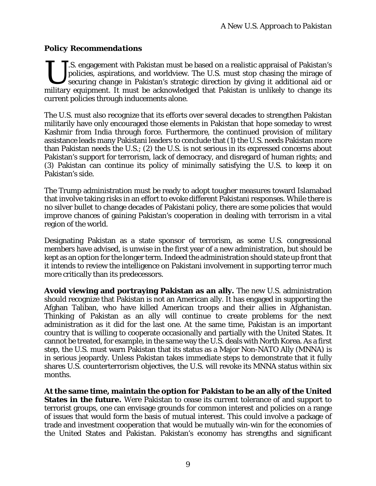#### *Policy Recommendations*

T.S. engagement with Pakistan must be based on a realistic appraisal of Pakistan's policies, aspirations, and worldview. The U.S. must stop chasing the mirage of securing change in Pakistan's strategic direction by giving it additional aid or US. S. engagement with Pakistan must be based on a realistic appraisal of Pakistan's policies, aspirations, and worldview. The U.S. must stop chasing the mirage of securing change in Pakistan's strategic direction by givin current policies through inducements alone.

The U.S. must also recognize that its efforts over several decades to strengthen Pakistan militarily have only encouraged those elements in Pakistan that hope someday to wrest Kashmir from India through force. Furthermore, the continued provision of military assistance leads many Pakistani leaders to conclude that (1) the U.S. needs Pakistan more than Pakistan needs the U.S.; (2) the U.S. is not serious in its expressed concerns about Pakistan's support for terrorism, lack of democracy, and disregard of human rights; and (3) Pakistan can continue its policy of minimally satisfying the U.S. to keep it on Pakistan's side.

The Trump administration must be ready to adopt tougher measures toward Islamabad that involve taking risks in an effort to evoke different Pakistani responses. While there is no silver bullet to change decades of Pakistani policy, there are some policies that would improve chances of gaining Pakistan's cooperation in dealing with terrorism in a vital region of the world.

Designating Pakistan as a state sponsor of terrorism, as some U.S. congressional members have advised, is unwise in the first year of a new administration, but should be kept as an option for the longer term. Indeed the administration should state up front that it intends to review the intelligence on Pakistani involvement in supporting terror much more critically than its predecessors.

**Avoid viewing and portraying Pakistan as an ally.** The new U.S. administration should recognize that Pakistan is not an American ally. It has engaged in supporting the Afghan Taliban, who have killed American troops and their allies in Afghanistan. Thinking of Pakistan as an ally will continue to create problems for the next administration as it did for the last one. At the same time, Pakistan is an important country that is willing to cooperate occasionally and partially with the United States. It cannot be treated, for example, in the same way the U.S. deals with North Korea. As a first step, the U.S. must warn Pakistan that its status as a Major Non-NATO Ally (MNNA) is in serious jeopardy. Unless Pakistan takes immediate steps to demonstrate that it fully shares U.S. counterterrorism objectives, the U.S. will revoke its MNNA status within six months.

**At the same time, maintain the option for Pakistan to be an ally of the United States in the future.** Were Pakistan to cease its current tolerance of and support to terrorist groups, one can envisage grounds for common interest and policies on a range of issues that would form the basis of mutual interest. This could involve a package of trade and investment cooperation that would be mutually win-win for the economies of the United States and Pakistan. Pakistan's economy has strengths and significant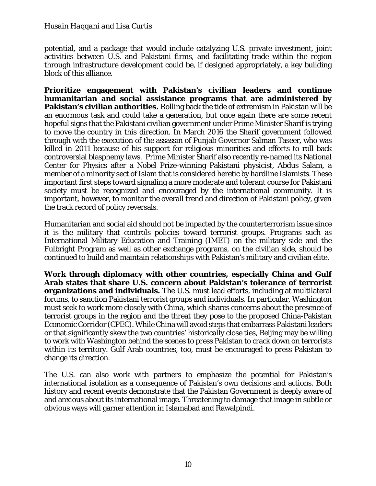potential, and a package that would include catalyzing U.S. private investment, joint activities between U.S. and Pakistani firms, and facilitating trade within the region through infrastructure development could be, if designed appropriately, a key building block of this alliance.

**Prioritize engagement with Pakistan's civilian leaders and continue humanitarian and social assistance programs that are administered by Pakistan's civilian authorities.** Rolling back the tide of extremism in Pakistan will be an enormous task and could take a generation, but once again there are some recent hopeful signs that the Pakistani civilian government under Prime Minister Sharif is trying to move the country in this direction. In March 2016 the Sharif government followed through with the execution of the assassin of Punjab Governor Salman Taseer, who was killed in 2011 because of his support for religious minorities and efforts to roll back controversial blasphemy laws. Prime Minister Sharif also recently re-named its National Center for Physics after a Nobel Prize-winning Pakistani physicist, Abdus Salam, a member of a minority sect of Islam that is considered heretic by hardline Islamists. These important first steps toward signaling a more moderate and tolerant course for Pakistani society must be recognized and encouraged by the international community. It is important, however, to monitor the overall trend and direction of Pakistani policy, given the track record of policy reversals.

Humanitarian and social aid should not be impacted by the counterterrorism issue since it is the military that controls policies toward terrorist groups. Programs such as International Military Education and Training (IMET) on the military side and the Fulbright Program as well as other exchange programs, on the civilian side, should be continued to build and maintain relationships with Pakistan's military and civilian elite.

**Work through diplomacy with other countries, especially China and Gulf Arab states that share U.S. concern about Pakistan's tolerance of terrorist organizations and individuals.** The U.S. must lead efforts, including at multilateral forums, to sanction Pakistani terrorist groups and individuals. In particular, Washington must seek to work more closely with China, which shares concerns about the presence of terrorist groups in the region and the threat they pose to the proposed China-Pakistan Economic Corridor (CPEC). While China will avoid steps that embarrass Pakistani leaders or that significantly skew the two countries' historically close ties, Beijing may be willing to work with Washington behind the scenes to press Pakistan to crack down on terrorists within its territory. Gulf Arab countries, too, must be encouraged to press Pakistan to change its direction.

The U.S. can also work with partners to emphasize the potential for Pakistan's international isolation as a consequence of Pakistan's own decisions and actions. Both history and recent events demonstrate that the Pakistan Government is deeply aware of and anxious about its international image. Threatening to damage that image in subtle or obvious ways will garner attention in Islamabad and Rawalpindi.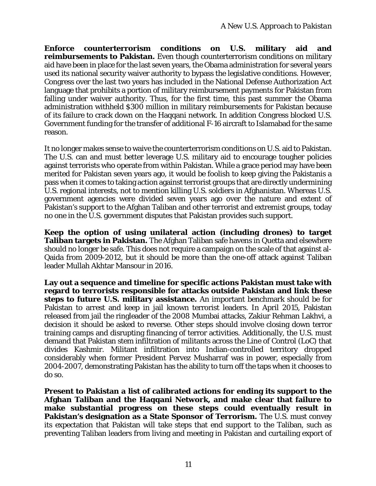**Enforce counterterrorism conditions on U.S. military aid and reimbursements to Pakistan.** Even though counterterrorism conditions on military aid have been in place for the last seven years, the Obama administration for several years used its national security waiver authority to bypass the legislative conditions. However, Congress over the last two years has included in the National Defense Authorization Act language that prohibits a portion of military reimbursement payments for Pakistan from falling under waiver authority. Thus, for the first time, this past summer the Obama administration withheld \$300 million in military reimbursements for Pakistan because of its failure to crack down on the Haqqani network. In addition Congress blocked U.S. Government funding for the transfer of additional F-16 aircraft to Islamabad for the same reason.

It no longer makes sense to waive the counterterrorism conditions on U.S. aid to Pakistan. The U.S. can and must better leverage U.S. military aid to encourage tougher policies against terrorists who operate from within Pakistan. While a grace period may have been merited for Pakistan seven years ago, it would be foolish to keep giving the Pakistanis a pass when it comes to taking action against terrorist groups that are directly undermining U.S. regional interests, not to mention killing U.S. soldiers in Afghanistan. Whereas U.S. government agencies were divided seven years ago over the nature and extent of Pakistan's support to the Afghan Taliban and other terrorist and extremist groups, today no one in the U.S. government disputes that Pakistan provides such support.

**Keep the option of using unilateral action (including drones) to target Taliban targets in Pakistan.** The Afghan Taliban safe havens in Quetta and elsewhere should no longer be safe. This does not require a campaign on the scale of that against al-Qaida from 2009-2012, but it should be more than the one-off attack against Taliban leader Mullah Akhtar Mansour in 2016.

**Lay out a sequence and timeline for specific actions Pakistan must take with regard to terrorists responsible for attacks outside Pakistan and link these steps to future U.S. military assistance.** An important benchmark should be for Pakistan to arrest and keep in jail known terrorist leaders. In April 2015, Pakistan released from jail the ringleader of the 2008 Mumbai attacks, Zakiur Rehman Lakhvi, a decision it should be asked to reverse. Other steps should involve closing down terror training camps and disrupting financing of terror activities. Additionally, the U.S. must demand that Pakistan stem infiltration of militants across the Line of Control (LoC) that divides Kashmir. Militant infiltration into Indian-controlled territory dropped considerably when former President Pervez Musharraf was in power, especially from 2004-2007, demonstrating Pakistan has the ability to turn off the taps when it chooses to do so.

**Present to Pakistan a list of calibrated actions for ending its support to the Afghan Taliban and the Haqqani Network, and make clear that failure to make substantial progress on these steps could eventually result in Pakistan's designation as a State Sponsor of Terrorism.** The U.S. must convey its expectation that Pakistan will take steps that end support to the Taliban, such as preventing Taliban leaders from living and meeting in Pakistan and curtailing export of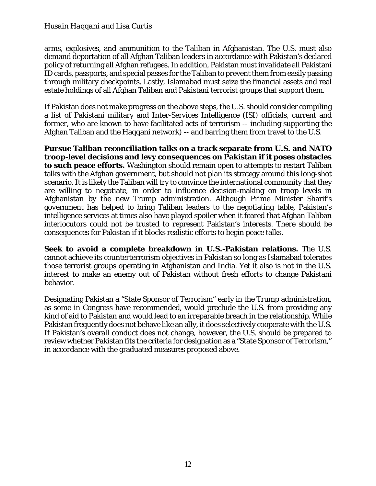arms, explosives, and ammunition to the Taliban in Afghanistan. The U.S. must also demand deportation of all Afghan Taliban leaders in accordance with Pakistan's declared policy of returning all Afghan refugees. In addition, Pakistan must invalidate all Pakistani ID cards, passports, and special passes for the Taliban to prevent them from easily passing through military checkpoints. Lastly, Islamabad must seize the financial assets and real estate holdings of all Afghan Taliban and Pakistani terrorist groups that support them.

If Pakistan does not make progress on the above steps, the U.S. should consider compiling a list of Pakistani military and Inter-Services Intelligence (ISI) officials, current and former, who are known to have facilitated acts of terrorism -- including supporting the Afghan Taliban and the Haqqani network) -- and barring them from travel to the U.S.

**Pursue Taliban reconciliation talks on a track separate from U.S. and NATO troop-level decisions and levy consequences on Pakistan if it poses obstacles to such peace efforts.** Washington should remain open to attempts to restart Taliban talks with the Afghan government, but should not plan its strategy around this long-shot scenario. It is likely the Taliban will try to convince the international community that they are willing to negotiate, in order to influence decision-making on troop levels in Afghanistan by the new Trump administration. Although Prime Minister Sharif's government has helped to bring Taliban leaders to the negotiating table, Pakistan's intelligence services at times also have played spoiler when it feared that Afghan Taliban interlocutors could not be trusted to represent Pakistan's interests. There should be consequences for Pakistan if it blocks realistic efforts to begin peace talks.

**Seek to avoid a complete breakdown in U.S.-Pakistan relations.** The U.S. cannot achieve its counterterrorism objectives in Pakistan so long as Islamabad tolerates those terrorist groups operating in Afghanistan and India. Yet it also is not in the U.S. interest to make an enemy out of Pakistan without fresh efforts to change Pakistani behavior.

Designating Pakistan a "State Sponsor of Terrorism" early in the Trump administration, as some in Congress have recommended, would preclude the U.S. from providing any kind of aid to Pakistan and would lead to an irreparable breach in the relationship. While Pakistan frequently does not behave like an ally, it does selectively cooperate with the U.S. If Pakistan's overall conduct does not change, however, the U.S. should be prepared to review whether Pakistan fits the criteria for designation as a "State Sponsor of Terrorism," in accordance with the graduated measures proposed above.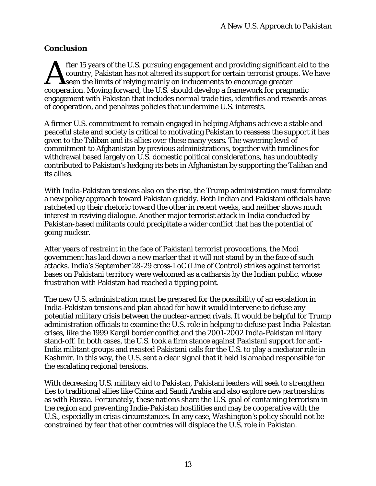#### *Conclusion*

fter 15 years of the U.S. pursuing engagement and providing significant aid to the country, Pakistan has not altered its support for certain terrorist groups. We have seen the limits of relying mainly on inducements to encourage greater cooperation. Moving forward, the U.S. should develop a framework for pragmatic engagement with Pakistan that includes normal trade ties, identifies and rewards areas of cooperation, and penalizes policies that undermine U.S. interests.  $\mathbf{A}$ 

A firmer U.S. commitment to remain engaged in helping Afghans achieve a stable and peaceful state and society is critical to motivating Pakistan to reassess the support it has given to the Taliban and its allies over these many years. The wavering level of commitment to Afghanistan by previous administrations, together with timelines for withdrawal based largely on U.S. domestic political considerations, has undoubtedly contributed to Pakistan's hedging its bets in Afghanistan by supporting the Taliban and its allies.

With India-Pakistan tensions also on the rise, the Trump administration must formulate a new policy approach toward Pakistan quickly. Both Indian and Pakistani officials have ratcheted up their rhetoric toward the other in recent weeks, and neither shows much interest in reviving dialogue. Another major terrorist attack in India conducted by Pakistan-based militants could precipitate a wider conflict that has the potential of going nuclear.

After years of restraint in the face of Pakistani terrorist provocations, the Modi government has laid down a new marker that it will not stand by in the face of such attacks. India's September 28-29 cross-LoC (Line of Control) strikes against terrorist bases on Pakistani territory were welcomed as a catharsis by the Indian public, whose frustration with Pakistan had reached a tipping point.

The new U.S. administration must be prepared for the possibility of an escalation in India-Pakistan tensions and plan ahead for how it would intervene to defuse any potential military crisis between the nuclear-armed rivals. It would be helpful for Trump administration officials to examine the U.S. role in helping to defuse past India-Pakistan crises, like the 1999 Kargil border conflict and the 2001-2002 India-Pakistan military stand-off. In both cases, the U.S. took a firm stance against Pakistani support for anti-India militant groups and resisted Pakistani calls for the U.S. to play a mediator role in Kashmir. In this way, the U.S. sent a clear signal that it held Islamabad responsible for the escalating regional tensions.

With decreasing U.S. military aid to Pakistan, Pakistani leaders will seek to strengthen ties to traditional allies like China and Saudi Arabia and also explore new partnerships as with Russia. Fortunately, these nations share the U.S. goal of containing terrorism in the region and preventing India-Pakistan hostilities and may be cooperative with the U.S., especially in crisis circumstances. In any case, Washington's policy should not be constrained by fear that other countries will displace the U.S. role in Pakistan.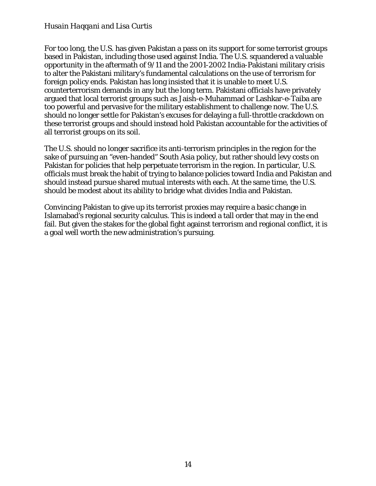For too long, the U.S. has given Pakistan a pass on its support for some terrorist groups based in Pakistan, including those used against India. The U.S. squandered a valuable opportunity in the aftermath of 9/11 and the 2001-2002 India-Pakistani military crisis to alter the Pakistani military's fundamental calculations on the use of terrorism for foreign policy ends. Pakistan has long insisted that it is unable to meet U.S. counterterrorism demands in any but the long term. Pakistani officials have privately argued that local terrorist groups such as Jaish-e-Muhammad or Lashkar-e-Taiba are too powerful and pervasive for the military establishment to challenge now. The U.S. should no longer settle for Pakistan's excuses for delaying a full-throttle crackdown on these terrorist groups and should instead hold Pakistan accountable for the activities of all terrorist groups on its soil.

The U.S. should no longer sacrifice its anti-terrorism principles in the region for the sake of pursuing an "even-handed" South Asia policy, but rather should levy costs on Pakistan for policies that help perpetuate terrorism in the region. In particular, U.S. officials must break the habit of trying to balance policies toward India and Pakistan and should instead pursue shared mutual interests with each. At the same time, the U.S. should be modest about its ability to bridge what divides India and Pakistan.

Convincing Pakistan to give up its terrorist proxies may require a basic change in Islamabad's regional security calculus. This is indeed a tall order that may in the end fail. But given the stakes for the global fight against terrorism and regional conflict, it is a goal well worth the new administration's pursuing.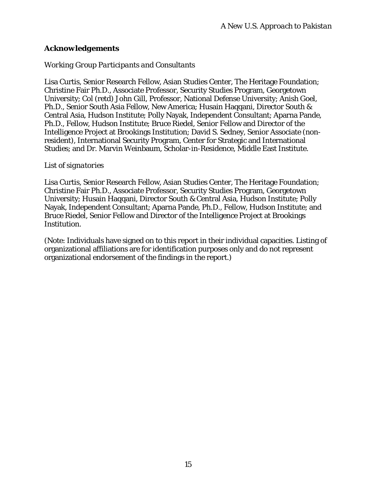#### *Acknowledgements*

#### *Working Group Participants and Consultants*

Lisa Curtis, Senior Research Fellow, Asian Studies Center, The Heritage Foundation; Christine Fair Ph.D., Associate Professor, Security Studies Program, Georgetown University; Col (retd) John Gill, Professor, National Defense University; Anish Goel, Ph.D., Senior South Asia Fellow, New America; Husain Haqqani, Director South & Central Asia, Hudson Institute; Polly Nayak, Independent Consultant; Aparna Pande, Ph.D., Fellow, Hudson Institute; Bruce Riedel, Senior Fellow and Director of the Intelligence Project at Brookings Institution; David S. Sedney, Senior Associate (nonresident), International Security Program, Center for Strategic and International Studies; and Dr. Marvin Weinbaum, Scholar-in-Residence, Middle East Institute.

#### *List of signatories*

Lisa Curtis, Senior Research Fellow, Asian Studies Center, The Heritage Foundation; Christine Fair Ph.D., Associate Professor, Security Studies Program, Georgetown University; Husain Haqqani, Director South & Central Asia, Hudson Institute; Polly Nayak, Independent Consultant; Aparna Pande, Ph.D., Fellow, Hudson Institute; and Bruce Riedel, Senior Fellow and Director of the Intelligence Project at Brookings Institution.

(Note: Individuals have signed on to this report in their individual capacities. Listing of organizational affiliations are for identification purposes only and do not represent organizational endorsement of the findings in the report.)